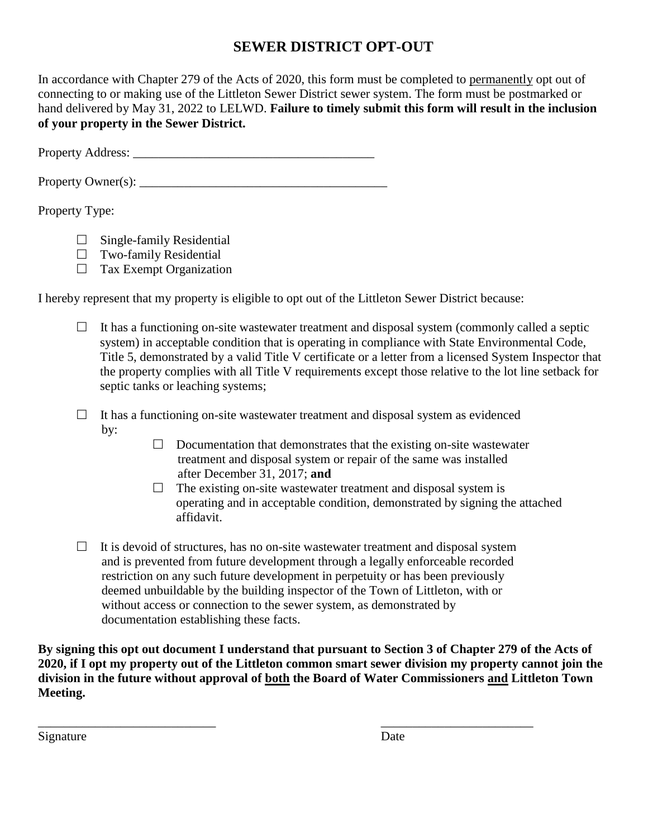## **SEWER DISTRICT OPT-OUT**

In accordance with Chapter 279 of the Acts of 2020, this form must be completed to permanently opt out of connecting to or making use of the Littleton Sewer District sewer system. The form must be postmarked or hand delivered by May 31, 2022 to LELWD. **Failure to timely submit this form will result in the inclusion of your property in the Sewer District.**

Property Address: \_\_\_\_\_\_\_\_\_\_\_\_\_\_\_\_\_\_\_\_\_\_\_\_\_\_\_\_\_\_\_\_\_\_\_\_\_\_

Property Owner $(s)$ :

## Property Type:

- $\Box$  Single-family Residential
- $\Box$  Two-family Residential
- $\Box$  Tax Exempt Organization

I hereby represent that my property is eligible to opt out of the Littleton Sewer District because:

- $\Box$  It has a functioning on-site wastewater treatment and disposal system (commonly called a septic system) in acceptable condition that is operating in compliance with State Environmental Code, Title 5, demonstrated by a valid Title V certificate or a letter from a licensed System Inspector that the property complies with all Title V requirements except those relative to the lot line setback for septic tanks or leaching systems;
- $\Box$  It has a functioning on-site wastewater treatment and disposal system as evidenced by:
	- $\Box$  Documentation that demonstrates that the existing on-site wastewater treatment and disposal system or repair of the same was installed after December 31, 2017; **and**
	- $\Box$  The existing on-site wastewater treatment and disposal system is operating and in acceptable condition, demonstrated by signing the attached affidavit.
- $\Box$  It is devoid of structures, has no on-site wastewater treatment and disposal system and is prevented from future development through a legally enforceable recorded restriction on any such future development in perpetuity or has been previously deemed unbuildable by the building inspector of the Town of Littleton, with or without access or connection to the sewer system, as demonstrated by documentation establishing these facts.

\_\_\_\_\_\_\_\_\_\_\_\_\_\_\_\_\_\_\_\_\_\_\_\_\_\_\_\_ \_\_\_\_\_\_\_\_\_\_\_\_\_\_\_\_\_\_\_\_\_\_\_\_

**By signing this opt out document I understand that pursuant to Section 3 of Chapter 279 of the Acts of 2020, if I opt my property out of the Littleton common smart sewer division my property cannot join the division in the future without approval of both the Board of Water Commissioners and Littleton Town Meeting.**

Signature Date